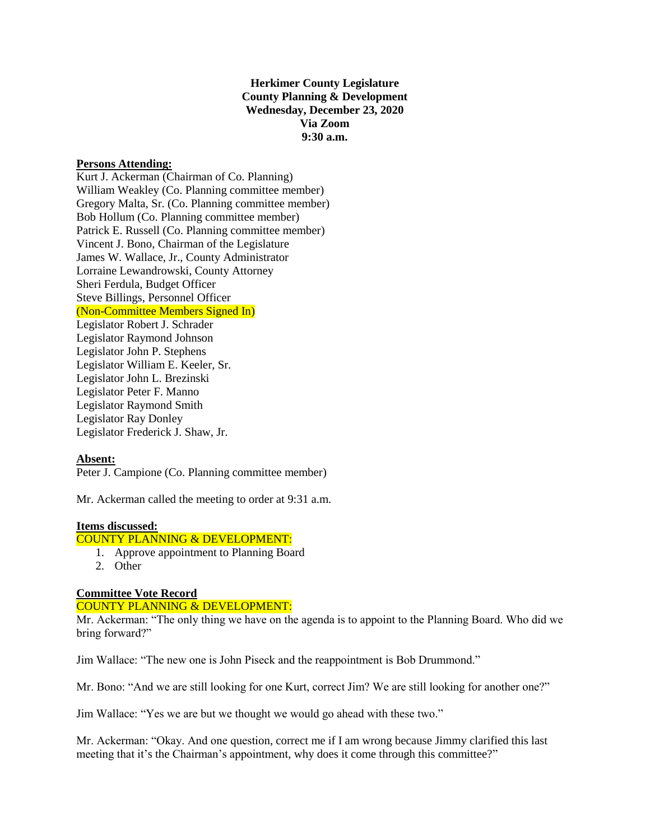**Herkimer County Legislature County Planning & Development Wednesday, December 23, 2020 Via Zoom 9:30 a.m.**

### **Persons Attending:**

Kurt J. Ackerman (Chairman of Co. Planning) William Weakley (Co. Planning committee member) Gregory Malta, Sr. (Co. Planning committee member) Bob Hollum (Co. Planning committee member) Patrick E. Russell (Co. Planning committee member) Vincent J. Bono, Chairman of the Legislature James W. Wallace, Jr., County Administrator Lorraine Lewandrowski, County Attorney Sheri Ferdula, Budget Officer Steve Billings, Personnel Officer (Non-Committee Members Signed In) Legislator Robert J. Schrader Legislator Raymond Johnson Legislator John P. Stephens Legislator William E. Keeler, Sr. Legislator John L. Brezinski Legislator Peter F. Manno Legislator Raymond Smith Legislator Ray Donley Legislator Frederick J. Shaw, Jr.

## **Absent:**

Peter J. Campione (Co. Planning committee member)

Mr. Ackerman called the meeting to order at 9:31 a.m.

## **Items discussed:**

# COUNTY PLANNING & DEVELOPMENT:

- 1. Approve appointment to Planning Board
- 2. Other

### **Committee Vote Record**

### COUNTY PLANNING & DEVELOPMENT:

Mr. Ackerman: "The only thing we have on the agenda is to appoint to the Planning Board. Who did we bring forward?"

Jim Wallace: "The new one is John Piseck and the reappointment is Bob Drummond."

Mr. Bono: "And we are still looking for one Kurt, correct Jim? We are still looking for another one?"

Jim Wallace: "Yes we are but we thought we would go ahead with these two."

Mr. Ackerman: "Okay. And one question, correct me if I am wrong because Jimmy clarified this last meeting that it's the Chairman's appointment, why does it come through this committee?"